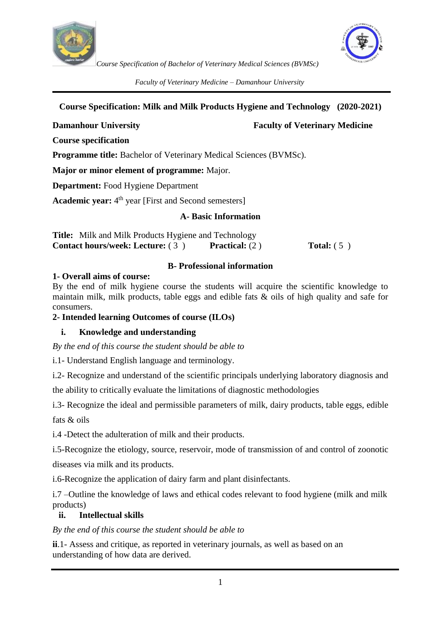



*Faculty of Veterinary Medicine – Damanhour University*

## **Course Specification: Milk and Milk Products Hygiene and Technology (2020-2021)**

# **Damanhour University Faculty of Veterinary Medicine**

**Course specification** 

**Programme title:** Bachelor of Veterinary Medical Sciences (BVMSc).

**Major or minor element of programme:** Major.

**Department:** Food Hygiene Department

Academic year:  $4<sup>th</sup>$  year [First and Second semesters]

#### **A- Basic Information**

| <b>Title:</b> Milk and Milk Products Hygiene and Technology |                         |                     |
|-------------------------------------------------------------|-------------------------|---------------------|
| <b>Contact hours/week: Lecture:</b> (3)                     | <b>Practical:</b> $(2)$ | <b>Total:</b> $(5)$ |

## **B- Professional information**

#### **1- Overall aims of course:**

By the end of milk hygiene course the students will acquire the scientific knowledge to maintain milk, milk products, table eggs and edible fats & oils of high quality and safe for consumers.

#### **2- Intended learning Outcomes of course (ILOs)**

# **i. Knowledge and understanding**

*By the end of this course the student should be able to*

i.1- Understand English language and terminology.

i.2- Recognize and understand of the scientific principals underlying laboratory diagnosis and the ability to critically evaluate the limitations of diagnostic methodologies

i.3- Recognize the ideal and permissible parameters of milk, dairy products, table eggs, edible

fats & oils

i.4 -Detect the adulteration of milk and their products.

i.5-Recognize the etiology, source, reservoir, mode of transmission of and control of zoonotic diseases via milk and its products.

i.6-Recognize the application of dairy farm and plant disinfectants.

i.7 –Outline the knowledge of laws and ethical codes relevant to food hygiene (milk and milk products)

# **ii. Intellectual skills**

#### *By the end of this course the student should be able to*

**ii**.1- Assess and critique, as reported in veterinary journals, as well as based on an understanding of how data are derived.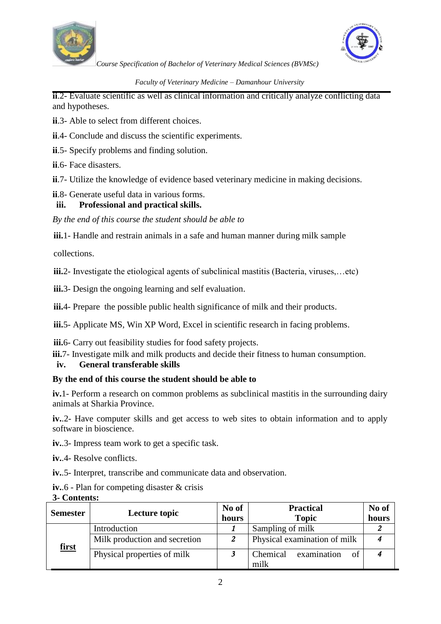



#### *Faculty of Veterinary Medicine – Damanhour University*

**ii**.2- Evaluate scientific as well as clinical information and critically analyze conflicting data and hypotheses.

- **ii**.3- Able to select from different choices.
- **ii**.4- Conclude and discuss the scientific experiments.
- **ii**.5- Specify problems and finding solution.
- **ii**.6- Face disasters.
- **ii**.7- Utilize the knowledge of evidence based veterinary medicine in making decisions.

## **ii**.8- Generate useful data in various forms.

#### **iii. Professional and practical skills.**

*By the end of this course the student should be able to*

**iii.**1- Handle and restrain animals in a safe and human manner during milk sample

collections.

**iii.**2- Investigate the etiological agents of subclinical mastitis (Bacteria, viruses,…etc)

**iii.**3- Design the ongoing learning and self evaluation.

**iii.**4- Prepare the possible public health significance of milk and their products.

**iii.**5- Applicate MS, Win XP Word, Excel in scientific research in facing problems.

**iii.**6- Carry out feasibility studies for food safety projects.

**iii.**7- Investigate milk and milk products and decide their fitness to human consumption.

#### **iv. General transferable skills**

#### **By the end of this course the student should be able to**

**iv.**1- Perform a research on common problems as subclinical mastitis in the surrounding dairy animals at Sharkia Province.

**iv.**.2- Have computer skills and get access to web sites to obtain information and to apply software in bioscience.

**iv.**.3- Impress team work to get a specific task.

**iv.**.4- Resolve conflicts.

**iv.**.5- Interpret, transcribe and communicate data and observation.

**iv.**.6 - Plan for competing disaster & crisis

| 3- Contents: |  |
|--------------|--|
|--------------|--|

| <b>Semester</b> | Lecture topic                 | No of | <b>Practical</b>              | No of |
|-----------------|-------------------------------|-------|-------------------------------|-------|
|                 |                               | hours | <b>Topic</b>                  | hours |
|                 | Introduction                  |       | Sampling of milk              |       |
| <u>first</u>    | Milk production and secretion |       | Physical examination of milk  |       |
|                 | Physical properties of milk   |       | examination<br>Chemical<br>of |       |
|                 |                               |       | milk                          |       |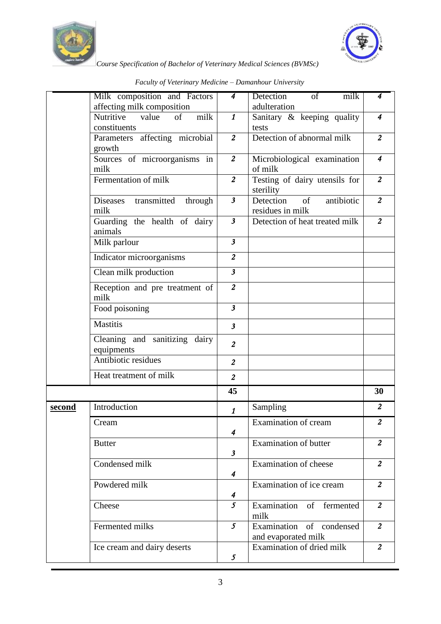



*Course Specification of Bachelor of Veterinary Medical Sciences (BVMSc)*

|        | Milk composition and Factors<br>affecting milk composition | 4                         | Detection<br>$\overline{\text{of}}$<br>milk<br>adulteration | 4              |
|--------|------------------------------------------------------------|---------------------------|-------------------------------------------------------------|----------------|
|        | milk<br>Nutritive<br>of<br>value<br>constituents           | $\boldsymbol{\mathit{1}}$ | Sanitary & keeping quality<br>tests                         | $\overline{4}$ |
|        | Parameters affecting microbial<br>growth                   | $\overline{2}$            | Detection of abnormal milk                                  | $\overline{2}$ |
|        | Sources of microorganisms in<br>milk                       | $\overline{c}$            | Microbiological examination<br>of milk                      | $\overline{4}$ |
|        | Fermentation of milk                                       | $\overline{c}$            | Testing of dairy utensils for<br>sterility                  | $\overline{2}$ |
|        | Diseases transmitted<br>through<br>milk                    | $\overline{\mathbf{3}}$   | antibiotic<br>Detection<br>$\sigma$<br>residues in milk     | $\overline{2}$ |
|        | Guarding the health of dairy<br>animals                    | $\overline{\mathbf{3}}$   | Detection of heat treated milk                              | $\overline{2}$ |
|        | Milk parlour                                               | $\overline{\mathbf{3}}$   |                                                             |                |
|        | Indicator microorganisms                                   | $\overline{c}$            |                                                             |                |
|        | Clean milk production                                      | $\overline{\mathbf{3}}$   |                                                             |                |
|        | Reception and pre treatment of<br>milk                     | $\overline{2}$            |                                                             |                |
|        | Food poisoning                                             | $\overline{\mathbf{3}}$   |                                                             |                |
|        | <b>Mastitis</b>                                            | $\mathbf{3}$              |                                                             |                |
|        | Cleaning and sanitizing dairy<br>equipments                | $\overline{2}$            |                                                             |                |
|        | Antibiotic residues                                        | $\overline{2}$            |                                                             |                |
|        | Heat treatment of milk                                     | $\overline{2}$            |                                                             |                |
|        |                                                            | 45                        |                                                             | 30             |
| second | Introduction                                               | $\boldsymbol{\mathit{1}}$ | Sampling                                                    | $\overline{2}$ |
|        | Cream                                                      | 4                         | Examination of cream                                        | $\overline{2}$ |
|        | <b>Butter</b>                                              | $\mathfrak{z}$            | <b>Examination of butter</b>                                | $\overline{2}$ |
|        | Condensed milk                                             | 4                         | Examination of cheese                                       | $\overline{2}$ |
|        | Powdered milk                                              | $\boldsymbol{4}$          | Examination of ice cream                                    | $\overline{a}$ |
|        | Cheese                                                     | $\overline{5}$            | Examination of fermented<br>milk                            | $\overline{a}$ |
|        | Fermented milks                                            | $\mathfrak{I}$            | Examination of condensed<br>and evaporated milk             | $\overline{a}$ |
|        | Ice cream and dairy deserts                                | 5                         | Examination of dried milk                                   | $\overline{2}$ |

*Faculty of Veterinary Medicine – Damanhour University*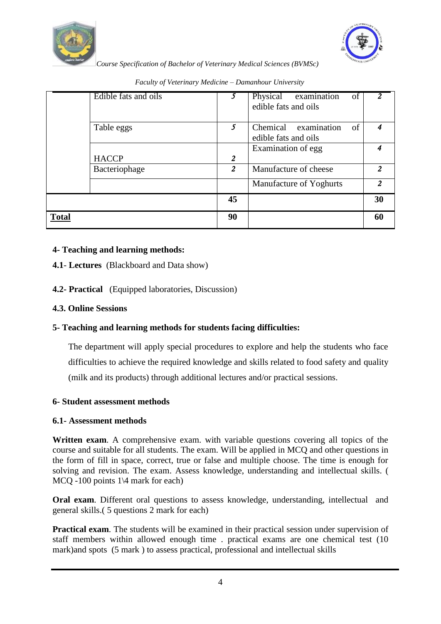



|              | Edible fats and oils | 5. | Physical examination<br>of<br>edible fats and oils | $\overline{2}$ |
|--------------|----------------------|----|----------------------------------------------------|----------------|
|              | Table eggs           | 5  | Chemical examination<br>of<br>edible fats and oils |                |
|              |                      |    | Examination of egg                                 |                |
|              | <b>HACCP</b>         | 2  |                                                    |                |
|              | Bacteriophage        | 2  | Manufacture of cheese                              | 2              |
|              |                      |    | Manufacture of Yoghurts                            | $\overline{2}$ |
|              |                      | 45 |                                                    | 30             |
| <b>Total</b> |                      | 90 |                                                    | 60             |

*Faculty of Veterinary Medicine – Damanhour University*

#### **4- Teaching and learning methods:**

## **4.1**- **Lectures** (Blackboard and Data show)

## **4.2- Practical** (Equipped laboratories, Discussion)

#### **4.3. Online Sessions**

# **5- Teaching and learning methods for students facing difficulties:**

The department will apply special procedures to explore and help the students who face difficulties to achieve the required knowledge and skills related to food safety and quality (milk and its products) through additional lectures and/or practical sessions.

#### **6- Student assessment methods**

#### **6.1- Assessment methods**

**Written exam**. A comprehensive exam. with variable questions covering all topics of the course and suitable for all students. The exam. Will be applied in MCQ and other questions in the form of fill in space, correct, true or false and multiple choose. The time is enough for solving and revision. The exam. Assess knowledge, understanding and intellectual skills. ( MCQ -100 points 1\4 mark for each)

**Oral exam**. Different oral questions to assess knowledge, understanding, intellectual and general skills.( 5 questions 2 mark for each)

**Practical exam**. The students will be examined in their practical session under supervision of staff members within allowed enough time . practical exams are one chemical test (10 mark)and spots (5 mark ) to assess practical, professional and intellectual skills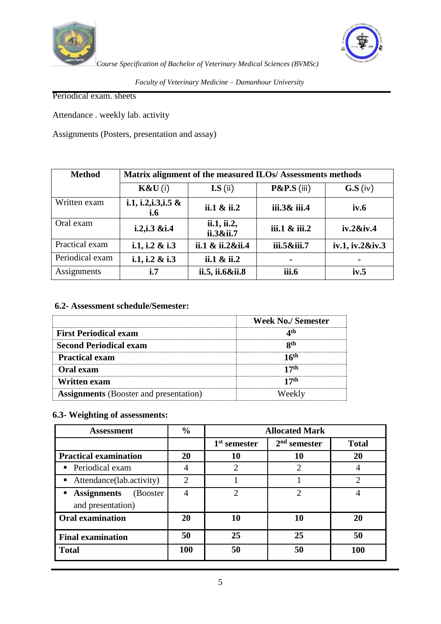



*Faculty of Veterinary Medicine – Damanhour University*

Periodical exam. sheets

Attendance . weekly lab. activity

Assignments (Posters, presentation and assay)

| <b>Method</b>   | Matrix alignment of the measured ILOs/Assessments methods |                          |                  |                     |  |  |
|-----------------|-----------------------------------------------------------|--------------------------|------------------|---------------------|--|--|
|                 | K&U(i)                                                    | $LS$ (ii)                | $P&P.S$ (iii)    | $\mathbf{G.S}$ (iv) |  |  |
| Written exam    | i.1, i.2, i.3, i.5 &<br>i.6                               | ii.1 $\&$ ii.2           | iii.3& iii.4     | iv.6                |  |  |
| Oral exam       | $i.2$ , $i.3$ & $i.4$                                     | ii.1, ii.2,<br>ii.3&ii.7 | $iii.1 \& iii.2$ | iv.2&iv.4           |  |  |
| Practical exam  | i.1, i.2 $& 1.3$                                          | ii.1 & ii.2&ii.4         | iii.5&iii.7      | iv.1, iv.2&iv.3     |  |  |
| Periodical exam | i.1, i.2 & i.3                                            | ii.1 $\&$ ii.2           | $\blacksquare$   | ۰                   |  |  |
| Assignments     | i.7                                                       | ii.5, ii.6&ii.8          | iii.6            | iv.5                |  |  |

# **6.2- Assessment schedule/Semester:**

|                                               | Week No./Semester |
|-----------------------------------------------|-------------------|
| <b>First Periodical exam</b>                  |                   |
| <b>Second Periodical exam</b>                 |                   |
| <b>Practical exam</b>                         |                   |
| <b>Oral</b> exam                              |                   |
| <b>Written exam</b>                           |                   |
| <b>Assignments</b> (Booster and presentation) |                   |

#### **6.3- Weighting of assessments:**

| <b>Assessment</b>                                    | $\frac{0}{0}$  | <b>Allocated Mark</b>       |                |               |
|------------------------------------------------------|----------------|-----------------------------|----------------|---------------|
|                                                      |                | 1 <sup>st</sup> semester    | $2nd$ semester | <b>Total</b>  |
| <b>Practical examination</b>                         | 20             | 10                          | 10             | 20            |
| • Periodical exam                                    | 4              | $\mathcal{D}_{\mathcal{L}}$ | 2              |               |
| • Attendance(lab.activity)                           | $\mathfrak{D}$ |                             |                | $\mathcal{D}$ |
| <b>Assignments</b><br>(Booster)<br>and presentation) | 4              | ↑                           | $\overline{2}$ | 4             |
| <b>Oral examination</b>                              | 20             | 10                          | 10             | 20            |
| <b>Final examination</b>                             | 50             | 25                          | 25             | 50            |
| <b>Total</b>                                         | 100            | 50                          | 50             | 100           |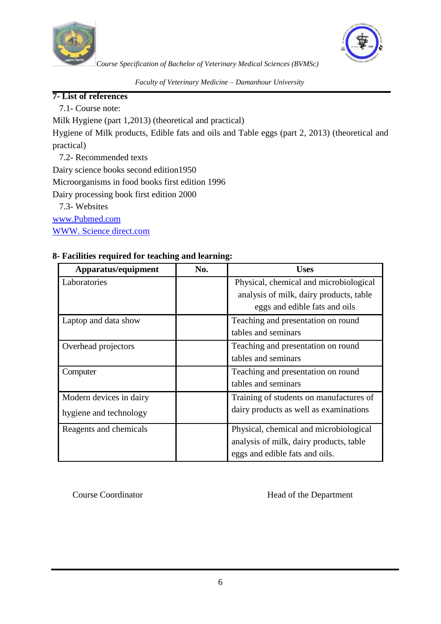



*Faculty of Veterinary Medicine – Damanhour University*

#### **7- List of references**

7.1- Course note:

Milk Hygiene (part 1,2013) (theoretical and practical)

Hygiene of Milk products, Edible fats and oils and Table eggs (part 2, 2013) (theoretical and practical)

7.2- Recommended texts

Dairy science books second edition1950

Microorganisms in food books first edition 1996

Dairy processing book first edition 2000

7.3- Websites

[www.Pubmed.com](http://www.pubmed.com/)

WWW. Science direct.com

# **8- Facilities required for teaching and learning:**

| Apparatus/equipment     | No. | <b>Uses</b>                                                                       |
|-------------------------|-----|-----------------------------------------------------------------------------------|
| Laboratories            |     | Physical, chemical and microbiological<br>analysis of milk, dairy products, table |
|                         |     | eggs and edible fats and oils                                                     |
| Laptop and data show    |     | Teaching and presentation on round                                                |
|                         |     | tables and seminars                                                               |
| Overhead projectors     |     | Teaching and presentation on round                                                |
|                         |     | tables and seminars                                                               |
| Computer                |     | Teaching and presentation on round                                                |
|                         |     | tables and seminars                                                               |
| Modern devices in dairy |     | Training of students on manufactures of                                           |
| hygiene and technology  |     | dairy products as well as examinations                                            |
| Reagents and chemicals  |     | Physical, chemical and microbiological                                            |
|                         |     | analysis of milk, dairy products, table                                           |
|                         |     | eggs and edible fats and oils.                                                    |

Course Coordinator **Head of the Department**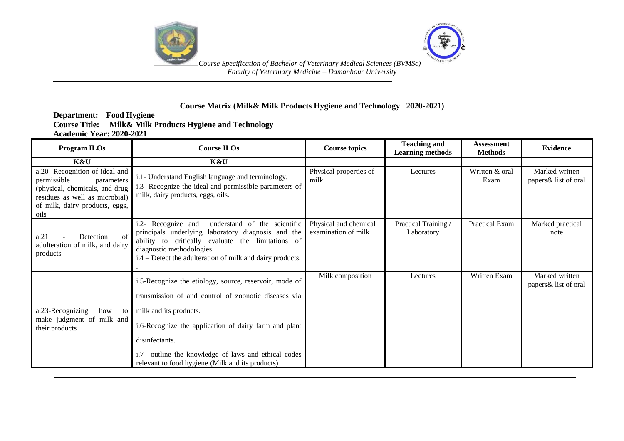



#### **Course Matrix (Milk& Milk Products Hygiene and Technology 2020-2021)**

#### **Department: Food Hygiene Course Title: Milk& Milk Products Hygiene and Technology Academic Year: 2020-2021**

| <b>Program ILOs</b>                                                                                                                                                       | <b>Course ILOs</b>                                                                                                                                                                                                                                                                                                              | <b>Course topics</b>                         | <b>Teaching and</b><br><b>Learning methods</b> | <b>Assessment</b><br><b>Methods</b> | <b>Evidence</b>                        |
|---------------------------------------------------------------------------------------------------------------------------------------------------------------------------|---------------------------------------------------------------------------------------------------------------------------------------------------------------------------------------------------------------------------------------------------------------------------------------------------------------------------------|----------------------------------------------|------------------------------------------------|-------------------------------------|----------------------------------------|
| K&U                                                                                                                                                                       | K&U                                                                                                                                                                                                                                                                                                                             |                                              |                                                |                                     |                                        |
| a.20- Recognition of ideal and<br>permissible<br>parameters<br>(physical, chemicals, and drug<br>residues as well as microbial)<br>of milk, dairy products, eggs,<br>oils | i.1- Understand English language and terminology.<br>i.3- Recognize the ideal and permissible parameters of<br>milk, dairy products, eggs, oils.                                                                                                                                                                                | Physical properties of<br>milk               | Lectures                                       | Written & oral<br>Exam              | Marked written<br>papers& list of oral |
| of<br>a.21<br>Detection<br>adulteration of milk, and dairy<br>products                                                                                                    | understand of the scientific<br>i.2- Recognize and<br>principals underlying laboratory diagnosis and the<br>ability to critically evaluate the limitations of<br>diagnostic methodologies<br>i.4 – Detect the adulteration of milk and dairy products.                                                                          | Physical and chemical<br>examination of milk | Practical Training /<br>Laboratory             | Practical Exam                      | Marked practical<br>note               |
| a.23-Recognizing<br>how<br>to<br>make judgment of milk and<br>their products                                                                                              | i.5-Recognize the etiology, source, reservoir, mode of<br>transmission of and control of zoonotic diseases via<br>milk and its products.<br>i.6-Recognize the application of dairy farm and plant<br>disinfectants.<br>i.7 -outline the knowledge of laws and ethical codes<br>relevant to food hygiene (Milk and its products) | Milk composition                             | Lectures                                       | Written Exam                        | Marked written<br>papers& list of oral |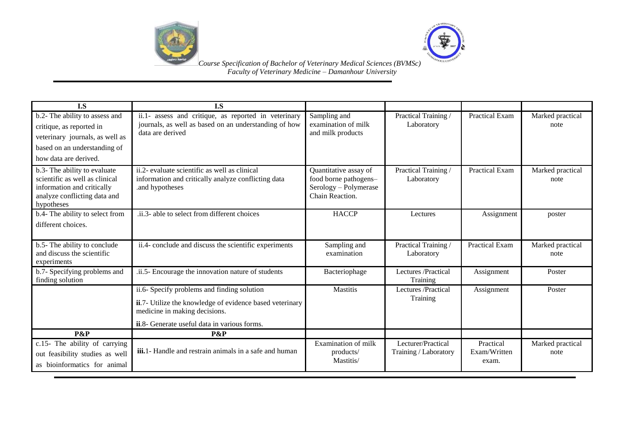



| I.S                                                                                                                                                    | I.S                                                                                                                                                                                      |                                                                                            |                                             |                                    |                          |
|--------------------------------------------------------------------------------------------------------------------------------------------------------|------------------------------------------------------------------------------------------------------------------------------------------------------------------------------------------|--------------------------------------------------------------------------------------------|---------------------------------------------|------------------------------------|--------------------------|
| b.2- The ability to assess and<br>critique, as reported in<br>veterinary journals, as well as<br>based on an understanding of<br>how data are derived. | ii.1- assess and critique, as reported in veterinary<br>journals, as well as based on an understanding of how<br>data are derived                                                        | Sampling and<br>examination of milk<br>and milk products                                   | Practical Training /<br>Laboratory          | Practical Exam                     | Marked practical<br>note |
| b.3- The ability to evaluate<br>scientific as well as clinical<br>information and critically<br>analyze conflicting data and<br>hypotheses             | ii.2- evaluate scientific as well as clinical<br>information and critically analyze conflicting data<br>.and hypotheses                                                                  | Quantitative assay of<br>food borne pathogens-<br>Serology - Polymerase<br>Chain Reaction. | Practical Training /<br>Laboratory          | <b>Practical Exam</b>              | Marked practical<br>note |
| b.4- The ability to select from<br>different choices.                                                                                                  | .ii.3- able to select from different choices                                                                                                                                             | <b>HACCP</b>                                                                               | Lectures                                    | Assignment                         | poster                   |
| b.5- The ability to conclude<br>and discuss the scientific<br>experiments                                                                              | ii.4- conclude and discuss the scientific experiments                                                                                                                                    | Sampling and<br>examination                                                                | Practical Training /<br>Laboratory          | <b>Practical Exam</b>              | Marked practical<br>note |
| b.7- Specifying problems and<br>finding solution                                                                                                       | .ii.5- Encourage the innovation nature of students                                                                                                                                       | Bacteriophage                                                                              | Lectures /Practical<br>Training             | Assignment                         | Poster                   |
|                                                                                                                                                        | ii.6- Specify problems and finding solution<br>ii.7- Utilize the knowledge of evidence based veterinary<br>medicine in making decisions.<br>ii.8- Generate useful data in various forms. | <b>Mastitis</b>                                                                            | Lectures /Practical<br>Training             | Assignment                         | Poster                   |
| P&P                                                                                                                                                    | P&P                                                                                                                                                                                      |                                                                                            |                                             |                                    |                          |
| c.15- The ability of carrying<br>out feasibility studies as well<br>as bioinformatics for animal                                                       | <b>iii.</b> 1 - Handle and restrain animals in a safe and human                                                                                                                          | Examination of milk<br>products/<br>Mastitis/                                              | Lecturer/Practical<br>Training / Laboratory | Practical<br>Exam/Written<br>exam. | Marked practical<br>note |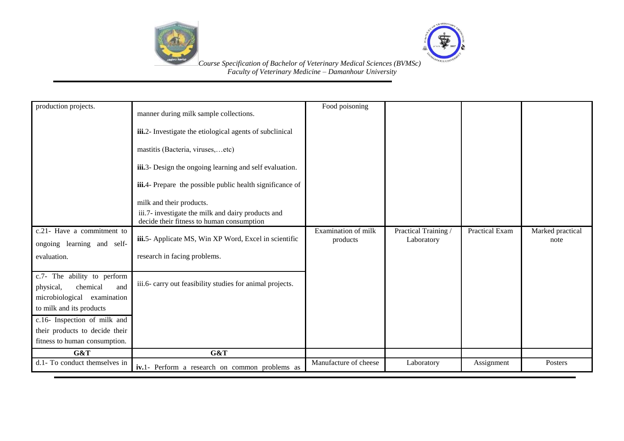



| production projects.                                                                                                                                                                                                         | manner during milk sample collections.<br>iii.2- Investigate the etiological agents of subclinical<br>mastitis (Bacteria, viruses,etc)<br>iii.3- Design the ongoing learning and self evaluation.<br><b>iii.</b> 4- Prepare the possible public health significance of<br>milk and their products.<br>iii.7- investigate the milk and dairy products and<br>decide their fitness to human consumption | Food poisoning                  |                                    |                       |                          |
|------------------------------------------------------------------------------------------------------------------------------------------------------------------------------------------------------------------------------|-------------------------------------------------------------------------------------------------------------------------------------------------------------------------------------------------------------------------------------------------------------------------------------------------------------------------------------------------------------------------------------------------------|---------------------------------|------------------------------------|-----------------------|--------------------------|
| c.21- Have a commitment to<br>ongoing learning and self-                                                                                                                                                                     | iii.5- Applicate MS, Win XP Word, Excel in scientific                                                                                                                                                                                                                                                                                                                                                 | Examination of milk<br>products | Practical Training /<br>Laboratory | <b>Practical Exam</b> | Marked practical<br>note |
| evaluation.                                                                                                                                                                                                                  | research in facing problems.                                                                                                                                                                                                                                                                                                                                                                          |                                 |                                    |                       |                          |
| c.7- The ability to perform<br>chemical<br>physical,<br>and<br>microbiological<br>examination<br>to milk and its products<br>c.16- Inspection of milk and<br>their products to decide their<br>fitness to human consumption. | iii.6- carry out feasibility studies for animal projects.                                                                                                                                                                                                                                                                                                                                             |                                 |                                    |                       |                          |
| G&T                                                                                                                                                                                                                          | G&T                                                                                                                                                                                                                                                                                                                                                                                                   |                                 |                                    |                       |                          |
| d.1- To conduct themselves in                                                                                                                                                                                                | iv.1- Perform a research on common problems as                                                                                                                                                                                                                                                                                                                                                        | Manufacture of cheese           | Laboratory                         | Assignment            | Posters                  |